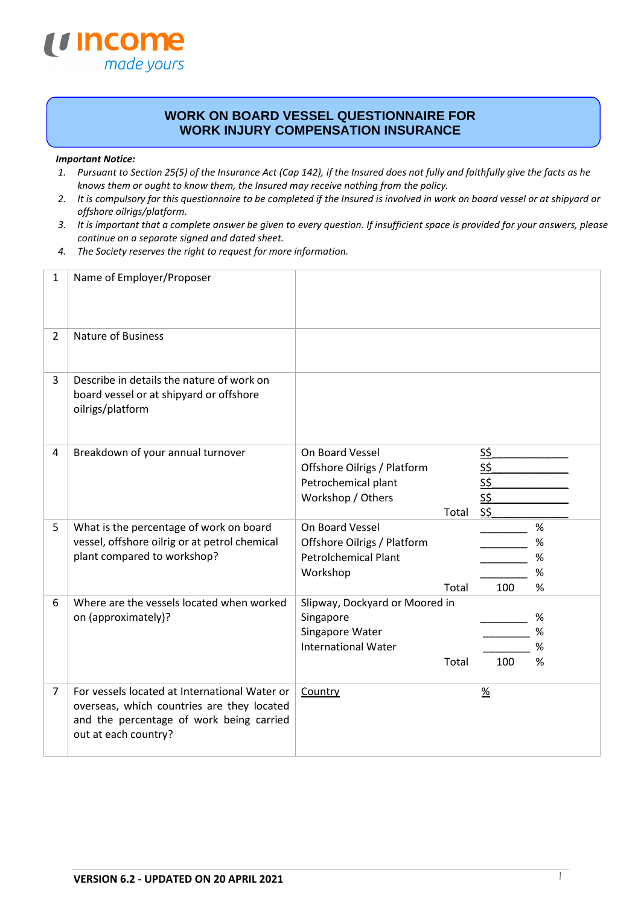

## **WORK ON BOARD VESSEL QUESTIONNAIRE FOR WORK INJURY COMPENSATION INSURANCE**

## *Important Notice:*

- *1. Pursuant to Section 25(5) of the Insurance Act (Cap 142), if the Insured does not fully and faithfully give the facts as he knows them or ought to know them, the Insured may receive nothing from the policy.*
- *2. It is compulsory for this questionnaire to be completed if the Insured is involved in work on board vessel or at shipyard or offshore oilrigs/platform.*
- *3. It is important that a complete answer be given to every question. If insufficient space is provided for your answers, please continue on a separate signed and dated sheet.*
- *4. The Society reserves the right to request for more information.*

| 1              | Name of Employer/Proposer                                                                                                                                       |                                                                                                       |                                                      |                             |
|----------------|-----------------------------------------------------------------------------------------------------------------------------------------------------------------|-------------------------------------------------------------------------------------------------------|------------------------------------------------------|-----------------------------|
| 2              | <b>Nature of Business</b>                                                                                                                                       |                                                                                                       |                                                      |                             |
| 3              | Describe in details the nature of work on<br>board vessel or at shipyard or offshore<br>oilrigs/platform                                                        |                                                                                                       |                                                      |                             |
| 4              | Breakdown of your annual turnover                                                                                                                               | On Board Vessel<br>Offshore Oilrigs / Platform<br>Petrochemical plant<br>Workshop / Others<br>Total   | <u>s\$</u><br><u>S\$</u><br><u>S\$</u><br>S\$<br>S\$ |                             |
| 5              | What is the percentage of work on board<br>vessel, offshore oilrig or at petrol chemical<br>plant compared to workshop?                                         | On Board Vessel<br>Offshore Oilrigs / Platform<br><b>Petrolchemical Plant</b><br>Workshop<br>Total    | 100                                                  | %<br>%<br>%<br>$\%$<br>$\%$ |
| 6              | Where are the vessels located when worked<br>on (approximately)?                                                                                                | Slipway, Dockyard or Moored in<br>Singapore<br>Singapore Water<br><b>International Water</b><br>Total | 100                                                  | %<br>$\%$<br>%<br>%         |
| $\overline{7}$ | For vessels located at International Water or<br>overseas, which countries are they located<br>and the percentage of work being carried<br>out at each country? | Country                                                                                               | $\frac{9}{6}$                                        |                             |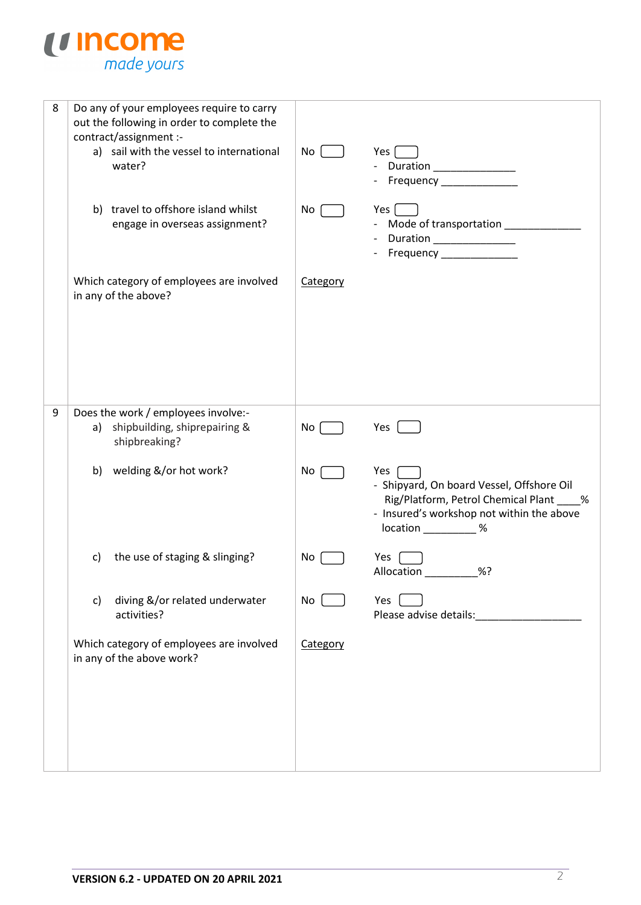

| 8 | Do any of your employees require to carry<br>out the following in order to complete the<br>contract/assignment :-<br>a) sail with the vessel to international<br>water?<br>b) travel to offshore island whilst<br>engage in overseas assignment?<br>Which category of employees are involved<br>in any of the above? | No<br>No<br>Category | Yes  <br>Frequency _______________<br>Yes $\vert$<br>- Mode of transportation ____<br>Duration _________________<br>Frequency _______________                           |
|---|----------------------------------------------------------------------------------------------------------------------------------------------------------------------------------------------------------------------------------------------------------------------------------------------------------------------|----------------------|-------------------------------------------------------------------------------------------------------------------------------------------------------------------------|
| 9 | Does the work / employees involve:-<br>a) shipbuilding, shiprepairing &                                                                                                                                                                                                                                              | No                   | Yes                                                                                                                                                                     |
|   | shipbreaking?                                                                                                                                                                                                                                                                                                        |                      |                                                                                                                                                                         |
|   | welding &/or hot work?<br>b)                                                                                                                                                                                                                                                                                         | No                   | Yes<br>- Shipyard, On board Vessel, Offshore Oil<br>Rig/Platform, Petrol Chemical Plant ____%<br>- Insured's workshop not within the above<br>$location$ ____________ % |
|   | the use of staging & slinging?<br>C)                                                                                                                                                                                                                                                                                 | No                   | Yes<br>%?<br>Allocation                                                                                                                                                 |
|   | diving &/or related underwater<br>c)<br>activities?                                                                                                                                                                                                                                                                  | $No$ $\Box$          | Yes<br>Please advise details:__________                                                                                                                                 |
|   | Which category of employees are involved<br>in any of the above work?                                                                                                                                                                                                                                                | Category             |                                                                                                                                                                         |
|   |                                                                                                                                                                                                                                                                                                                      |                      |                                                                                                                                                                         |